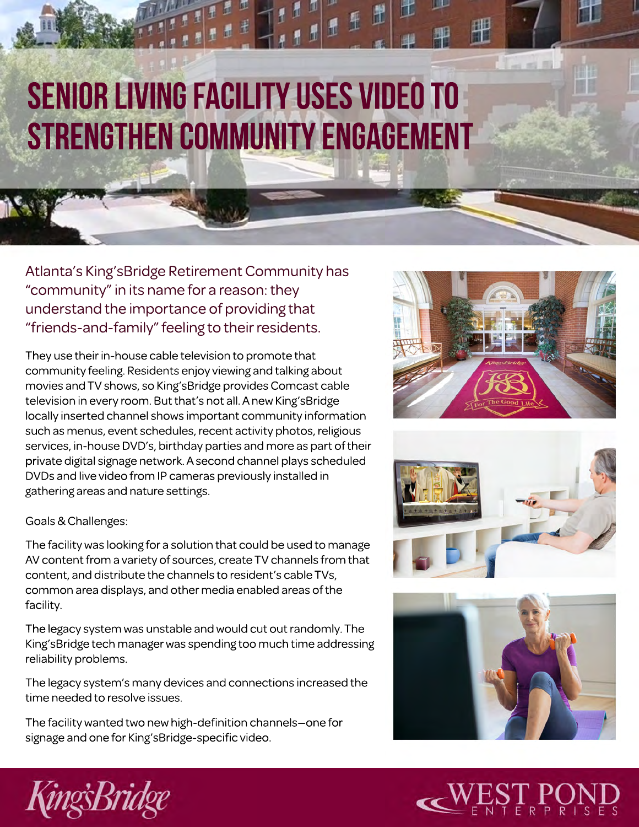## SENIOR LIVING FACILITY USES VIDEO TO Strengthen Community Engagement

Atlanta's King'sBridge Retirement Community has "community" in its name for a reason: they understand the importance of providing that "friends-and-family" feeling to their residents.

They use their in-house cable television to promote that community feeling. Residents enjoy viewing and talking about movies and TV shows, so King'sBridge provides Comcast cable television in every room. But that's not all. A new King'sBridge locally inserted channel shows important community information such as menus, event schedules, recent activity photos, religious services, in-house DVD's, birthday parties and more as part of their private digital signage network. A second channel plays scheduled DVDs and live video from IP cameras previously installed in gathering areas and nature settings.









Goals & Challenges:

The facility was looking for a solution that could be used to manage AV content from a variety of sources, create TV channels from that content, and distribute the channels to resident's cable TVs, common area displays, and other media enabled areas of the facility.

The legacy system was unstable and would cut out randomly. The King'sBridge tech manager was spending too much time addressing reliability problems.

The legacy system's many devices and connections increased the time needed to resolve issues.

The facility wanted two new high-definition channels—one for signage and one for King'sBridge-specific video.

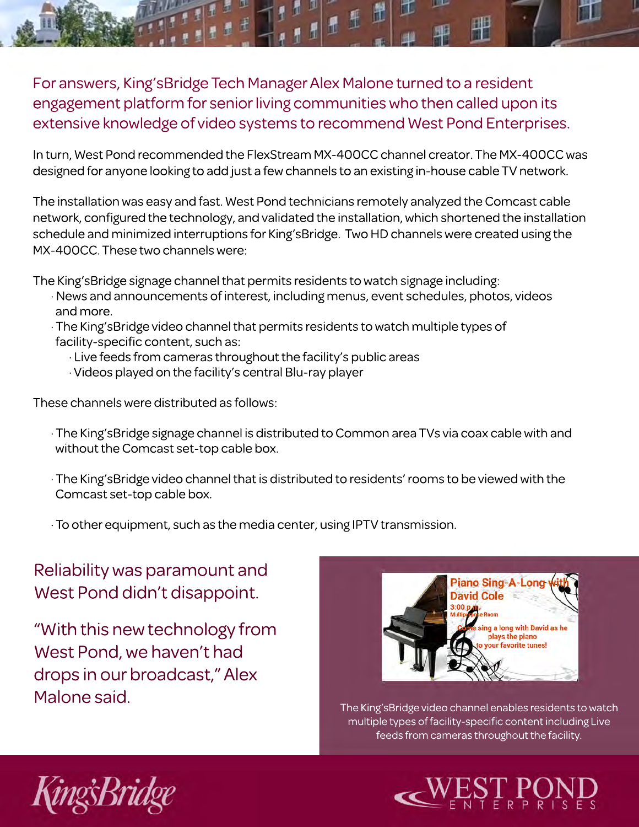For answers, King'sBridge Tech Manager Alex Malone turned to a resident engagement platform for senior living communities who then called upon its extensive knowledge of video systems to recommend West Pond Enterprises.

In turn, West Pond recommended the FlexStream MX-400CC channel creator. The MX-400CC was designed for anyone looking to add just a few channels to an existing in-house cable TV network.

The installation was easy and fast. West Pond technicians remotely analyzed the Comcast cable network, configured the technology, and validated the installation, which shortened the installation schedule and minimized interruptions for King'sBridge. Two HD channels were created using the MX-400CC. These two channels were:

The King'sBridge signage channel that permits residents to watch signage including:

- · News and announcements of interest, including menus, event schedules, photos, videos and more.
- · The King'sBridge video channel that permits residents to watch multiple types of facility-specific content, such as:
	- · Live feeds from cameras throughout the facility's public areas
	- · Videos played on the facility's central Blu-ray player

These channels were distributed as follows:

- · The King'sBridge signage channel is distributed to Common area TVs via coax cable with and without the Comcast set-top cable box.
- · The King'sBridge video channel that is distributed to residents' rooms to be viewed with the Comcast set-top cable box.

· To other equipment, such as the media center, using IPTV transmission.

Reliability was paramount and West Pond didn't disappoint.

"With this new technology from West Pond, we haven't had drops in our broadcast," Alex Malone said.



The King'sBridge video channel enables residents to watch multiple types of facility-specific content including Live feeds from cameras throughout the facility.



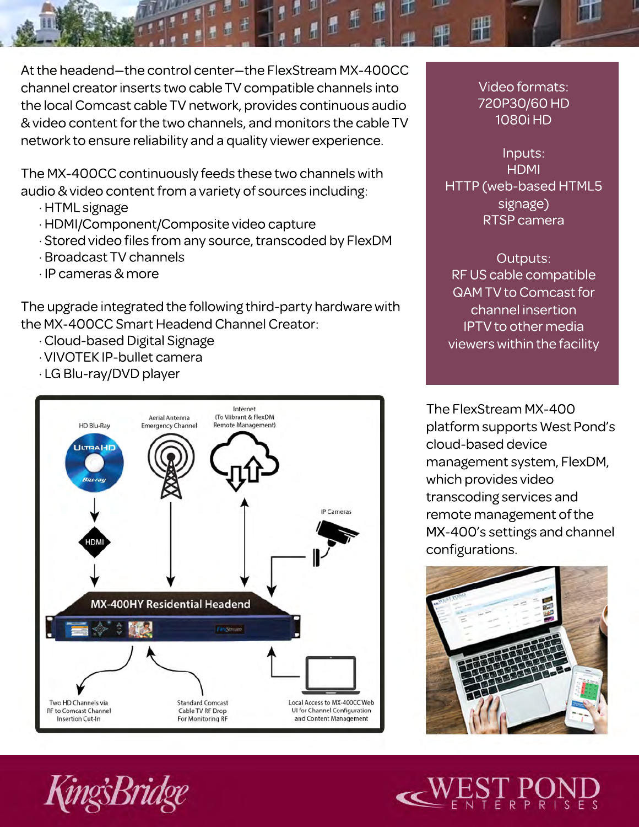

At the headend—the control center—the FlexStream MX-400CC channel creator inserts two cable TV compatible channels into the local Comcast cable TV network, provides continuous audio & video content for the two channels, and monitors the cable TV network to ensure reliability and a quality viewer experience.

The MX-400CC continuously feeds these two channels with audio & video content from a variety of sources including:

- · HTML signage
- · HDMI/Component/Composite video capture
- · Stored video files from any source, transcoded by FlexDM
- · Broadcast TV channels
- · IP cameras & more

The upgrade integrated the following third-party hardware with the MX-400CC Smart Headend Channel Creator:

- · Cloud-based Digital Signage
- · VIVOTEK IP-bullet camera
- · LG Blu-ray/DVD player



Video formats: 720P30/60 HD 1080i HD

Inputs: HDMI HTTP (web-based HTML5 signage) RTSP camera

Outputs: RF US cable compatible QAM TV to Comcast for channel insertion IPTV to other media viewers within the facility

The FlexStream MX-400 platform supports West Pond's cloud-based device management system, FlexDM, which provides video transcoding services and remote management of the MX-400's settings and channel configurations.